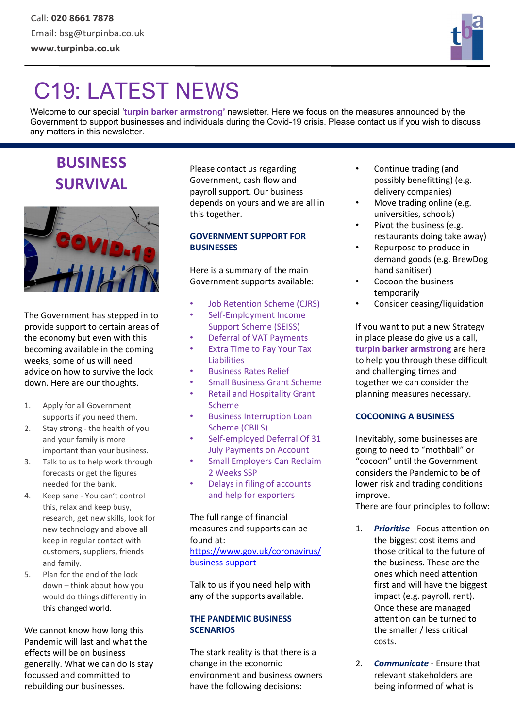

# C19: LATEST NEWS

Welcome to our special 'turpin barker armstrong' newsletter. Here we focus on the measures announced by the Government to support businesses and individuals during the Covid-19 crisis. Please contact us if you wish to discuss any matters in this newsletter.

# BUSINESS SURVIVAL



The Government has stepped in to provide support to certain areas of the economy but even with this becoming available in the coming weeks, some of us will need advice on how to survive the lock down. Here are our thoughts.

- 1. Apply for all Government supports if you need them.
- 2. Stay strong the health of you and your family is more important than your business.
- 3. Talk to us to help work through forecasts or get the figures needed for the bank.
- 4. Keep sane You can't control this, relax and keep busy, research, get new skills, look for new technology and above all keep in regular contact with customers, suppliers, friends and family.
- 5. Plan for the end of the lock down – think about how you would do things differently in this changed world.

We cannot know how long this Pandemic will last and what the effects will be on business generally. What we can do is stay focussed and committed to rebuilding our businesses.

Please contact us regarding Government, cash flow and payroll support. Our business depends on yours and we are all in this together.

# GOVERNMENT SUPPORT FOR **BUSINESSES**

Here is a summary of the main Government supports available:

- Job Retention Scheme (CJRS)
- Self-Employment Income Support Scheme (SEISS)
- Deferral of VAT Payments
- Extra Time to Pay Your Tax Liabilities
- Business Rates Relief
- Small Business Grant Scheme
- Retail and Hospitality Grant Scheme
- Business Interruption Loan Scheme (CBILS)
- Self-employed Deferral Of 31 July Payments on Account
- Small Employers Can Reclaim 2 Weeks SSP
- Delays in filing of accounts and help for exporters

# The full range of financial measures and supports can be found at: https://www.gov.uk/coronavirus/

business-support

Talk to us if you need help with any of the supports available.

# THE PANDEMIC BUSINESS **SCENARIOS**

The stark reality is that there is a change in the economic environment and business owners have the following decisions:

- Continue trading (and possibly benefitting) (e.g. delivery companies)
- Move trading online (e.g. universities, schools)
- Pivot the business (e.g. restaurants doing take away)
- Repurpose to produce indemand goods (e.g. BrewDog hand sanitiser)
- Cocoon the business temporarily
- Consider ceasing/liquidation

If you want to put a new Strategy in place please do give us a call, turpin barker armstrong are here to help you through these difficult and challenging times and together we can consider the planning measures necessary.

# COCOONING A BUSINESS

Inevitably, some businesses are going to need to "mothball" or "cocoon" until the Government considers the Pandemic to be of lower risk and trading conditions improve.

There are four principles to follow:

- 1. Prioritise Focus attention on the biggest cost items and those critical to the future of the business. These are the ones which need attention first and will have the biggest impact (e.g. payroll, rent). Once these are managed attention can be turned to the smaller / less critical costs.
- 2. **Communicate** Ensure that relevant stakeholders are being informed of what is